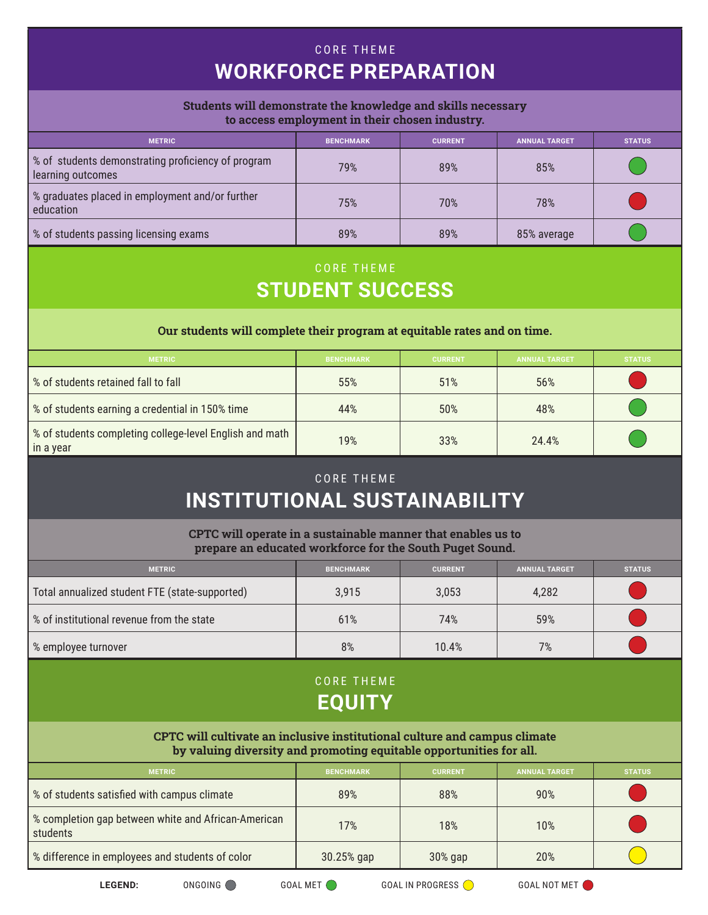# CORE THEME **WORKFORCE PREPARATION**

#### **Students will demonstrate the knowledge and skills necessary to access employment in their chosen industry.**

| <b>METRIC</b>                                                           | <b>BENCHMARK</b> | <b>CURRENT</b> | <b>ANNUAL TARGET</b> | <b>STATUS</b> |
|-------------------------------------------------------------------------|------------------|----------------|----------------------|---------------|
| % of students demonstrating proficiency of program<br>learning outcomes | 79%              | 89%            | 85%                  |               |
| % graduates placed in employment and/or further<br>education            | 75%              | 70%            | 78%                  |               |
| % of students passing licensing exams                                   | 89%              | 89%            | 85% average          |               |

### CORE THEME **STUDENT SUCCESS**

#### **Our students will complete their program at equitable rates and on time.**

| <b>METRIC</b>                                                        | <b>BENCHMARK</b> | <b>CURRENT</b> | <b>ANNUAL TARGET</b> | <b>STATUS</b> |
|----------------------------------------------------------------------|------------------|----------------|----------------------|---------------|
| Sof students retained fall to fall                                   | 55%              | 51%            | 56%                  |               |
| % of students earning a credential in 150% time                      | 44%              | 50%            | 48%                  |               |
| % of students completing college-level English and math<br>in a year | 19%              | 33%            | 24.4%                |               |

# CORE THEME **INSTITUTIONAL SUSTAINABILITY**

**CPTC will operate in a sustainable manner that enables us to prepare an educated workforce for the South Puget Sound.**

| <b>METRIC</b>                                  | <b>BENCHMARK</b> | <b>CURRENT</b> | <b>ANNUAL TARGET</b> | <b>STATUS</b> |
|------------------------------------------------|------------------|----------------|----------------------|---------------|
| Total annualized student FTE (state-supported) | 3,915            | 3,053          | 4,282                |               |
| % of institutional revenue from the state      | 61%              | 74%            | 59%                  |               |
| % employee turnover                            | 8%               | 10.4%          | 7%                   |               |

### CORE THEME **EQUITY**

**CPTC will cultivate an inclusive institutional culture and campus climate by valuing diversity and promoting equitable opportunities for all.**

| <b>METRIC</b>                                                 | <b>BENCHMARK</b> | <b>CURRENT</b> | <b>ANNUAL TARGET</b> | <b>STATUS</b> |
|---------------------------------------------------------------|------------------|----------------|----------------------|---------------|
| % of students satisfied with campus climate                   | 89%              | 88%            | 90%                  |               |
| Sompletion gap between white and African-American<br>students | 17%              | 18%            | $10\%$               |               |
| % difference in employees and students of color               | $30.25%$ gap     | $30\%$ gap     | 20%                  |               |